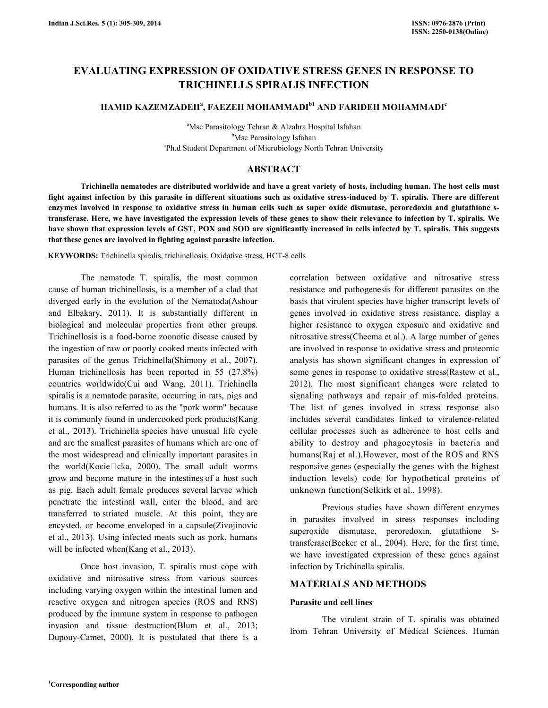# EVALUATING EXPRESSION OF OXIDATIVE STRESS GENES IN RESPONSE TO TRICHINELLS SPIRALIS INFECTION

# HAMID KAZEMZADEHª, FAEZEH MOHAMMADI<sup>bi</sup> AND FARIDEH MOHAMMADI<sup>e</sup>

<sup>a</sup>Msc Parasitology Tehran & Alzahra Hospital Isfahan <sup>b</sup>Msc Parasitology Isfahan c Ph.d Student Department of Microbiology North Tehran University

## ABSTRACT

 Trichinella nematodes are distributed worldwide and have a great variety of hosts, including human. The host cells must fight against infection by this parasite in different situations such as oxidative stress-induced by T. spiralis. There are different enzymes involved in response to oxidative stress in human cells such as super oxide dismutase, peroredoxin and glutathione stransferase. Here, we have investigated the expression levels of these genes to show their relevance to infection by T. spiralis. We have shown that expression levels of GST, POX and SOD are significantly increased in cells infected by T. spiralis. This suggests that these genes are involved in fighting against parasite infection.

KEYWORDS: Trichinella spiralis, trichinellosis, Oxidative stress, HCT-8 cells

 The nematode T. spiralis, the most common cause of human trichinellosis, is a member of a clad that diverged early in the evolution of the Nematoda(Ashour and Elbakary, 2011). It is substantially different in biological and molecular properties from other groups. Trichinellosis is a food-borne zoonotic disease caused by the ingestion of raw or poorly cooked meats infected with parasites of the genus Trichinella(Shimony et al., 2007). Human trichinellosis has been reported in 55 (27.8%) countries worldwide(Cui and Wang, 2011). Trichinella spiralis is a nematode parasite, occurring in rats, pigs and humans. It is also referred to as the "pork worm" because it is commonly found in undercooked pork products(Kang et al., 2013). Trichinella species have unusual life cycle and are the smallest parasites of humans which are one of the most widespread and clinically important parasites in the world(Kocie $\Box$ cka, 2000). The small adult worms grow and become mature in the intestines of a host such as pig. Each adult female produces several larvae which penetrate the intestinal wall, enter the blood, and are transferred to striated muscle. At this point, they are encysted, or become enveloped in a capsule(Zivojinovic et al., 2013). Using infected meats such as pork, humans will be infected when(Kang et al., 2013).

 Once host invasion, T. spiralis must cope with oxidative and nitrosative stress from various sources including varying oxygen within the intestinal lumen and reactive oxygen and nitrogen species (ROS and RNS) produced by the immune system in response to pathogen invasion and tissue destruction(Blum et al., 2013; Dupouy-Camet, 2000). It is postulated that there is a correlation between oxidative and nitrosative stress resistance and pathogenesis for different parasites on the basis that virulent species have higher transcript levels of genes involved in oxidative stress resistance, display a higher resistance to oxygen exposure and oxidative and nitrosative stress(Cheema et al.). A large number of genes are involved in response to oxidative stress and proteomic analysis has shown significant changes in expression of some genes in response to oxidative stress(Rastew et al., 2012). The most significant changes were related to signaling pathways and repair of mis-folded proteins. The list of genes involved in stress response also includes several candidates linked to virulence-related cellular processes such as adherence to host cells and ability to destroy and phagocytosis in bacteria and humans(Raj et al.).However, most of the ROS and RNS responsive genes (especially the genes with the highest induction levels) code for hypothetical proteins of unknown function(Selkirk et al., 1998).

 Previous studies have shown different enzymes in parasites involved in stress responses including superoxide dismutase, peroredoxin, glutathione Stransferase(Becker et al., 2004). Here, for the first time, we have investigated expression of these genes against infection by Trichinella spiralis.

## MATERIALS AND METHODS

## Parasite and cell lines

 The virulent strain of T. spiralis was obtained from Tehran University of Medical Sciences. Human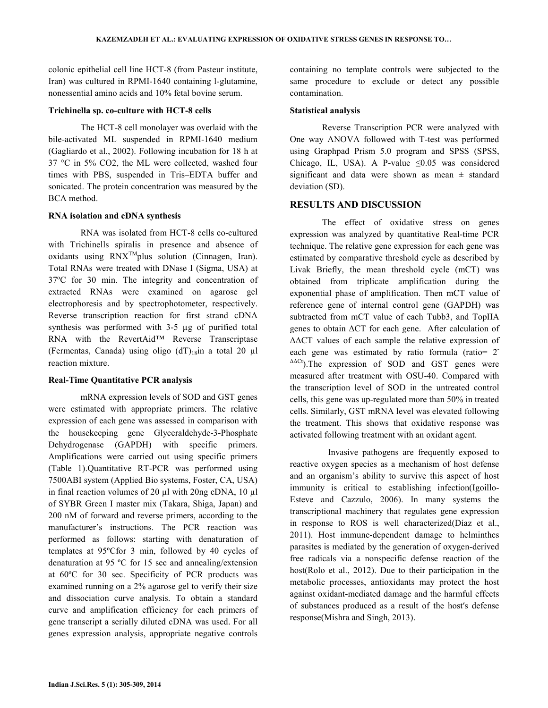colonic epithelial cell line HCT-8 (from Pasteur institute, Iran) was cultured in RPMI-1640 containing l-glutamine, nonessential amino acids and 10% fetal bovine serum.

#### Trichinella sp. co-culture with HCT-8 cells

 The HCT-8 cell monolayer was overlaid with the bile-activated ML suspended in RPMI-1640 medium (Gagliardo et al., 2002). Following incubation for 18 h at 37 °C in 5% CO2, the ML were collected, washed four times with PBS, suspended in Tris–EDTA buffer and sonicated. The protein concentration was measured by the BCA method.

## RNA isolation and cDNA synthesis

 RNA was isolated from HCT-8 cells co-cultured with Trichinells spiralis in presence and absence of oxidants using  $RNX^{TM}$ plus solution (Cinnagen, Iran). Total RNAs were treated with DNase I (Sigma, USA) at 37ºC for 30 min. The integrity and concentration of extracted RNAs were examined on agarose gel electrophoresis and by spectrophotometer, respectively. Reverse transcription reaction for first strand cDNA synthesis was performed with 3-5 µg of purified total RNA with the RevertAid™ Reverse Transcriptase (Fermentas, Canada) using oligo  $(dT)_{18}$ in a total 20 µl reaction mixture.

#### Real-Time Quantitative PCR analysis

 mRNA expression levels of SOD and GST genes were estimated with appropriate primers. The relative expression of each gene was assessed in comparison with the housekeeping gene Glyceraldehyde-3-Phosphate Dehydrogenase (GAPDH) with specific primers. Amplifications were carried out using specific primers (Table 1).Quantitative RT-PCR was performed using 7500ABI system (Applied Bio systems, Foster, CA, USA) in final reaction volumes of 20 µl with 20ng cDNA, 10 µl of SYBR Green I master mix (Takara, Shiga, Japan) and 200 nM of forward and reverse primers, according to the manufacturer's instructions. The PCR reaction was performed as follows: starting with denaturation of templates at 95ºCfor 3 min, followed by 40 cycles of denaturation at 95 ºC for 15 sec and annealing/extension at 60ºC for 30 sec. Specificity of PCR products was examined running on a 2% agarose gel to verify their size and dissociation curve analysis. To obtain a standard curve and amplification efficiency for each primers of gene transcript a serially diluted cDNA was used. For all genes expression analysis, appropriate negative controls containing no template controls were subjected to the same procedure to exclude or detect any possible contamination.

#### Statistical analysis

 Reverse Transcription PCR were analyzed with One way ANOVA followed with T-test was performed using Graphpad Prism 5.0 program and SPSS (SPSS, Chicago, IL, USA). A P-value  $\leq 0.05$  was considered significant and data were shown as mean  $\pm$  standard deviation (SD).

## RESULTS AND DISCUSSION

 The effect of oxidative stress on genes expression was analyzed by quantitative Real-time PCR technique. The relative gene expression for each gene was estimated by comparative threshold cycle as described by Livak Briefly, the mean threshold cycle (mCT) was obtained from triplicate amplification during the exponential phase of amplification. Then mCT value of reference gene of internal control gene (GAPDH) was subtracted from mCT value of each Tubb3, and TopIIA genes to obtain ∆CT for each gene. After calculation of ∆∆CT values of each sample the relative expression of each gene was estimated by ratio formula (ratio= 2<sup>-</sup> ∆∆Ct).The expression of SOD and GST genes were measured after treatment with OSU-40. Compared with the transcription level of SOD in the untreated control cells, this gene was up-regulated more than 50% in treated cells. Similarly, GST mRNA level was elevated following the treatment. This shows that oxidative response was activated following treatment with an oxidant agent.

 Invasive pathogens are frequently exposed to reactive oxygen species as a mechanism of host defense and an organism's ability to survive this aspect of host immunity is critical to establishing infection(Igoillo-Esteve and Cazzulo, 2006). In many systems the transcriptional machinery that regulates gene expression in response to ROS is well characterized(Díaz et al., 2011). Host immune-dependent damage to helminthes parasites is mediated by the generation of oxygen-derived free radicals via a nonspecific defense reaction of the host(Rolo et al., 2012). Due to their participation in the metabolic processes, antioxidants may protect the host against oxidant-mediated damage and the harmful effects of substances produced as a result of the host′s defense response(Mishra and Singh, 2013).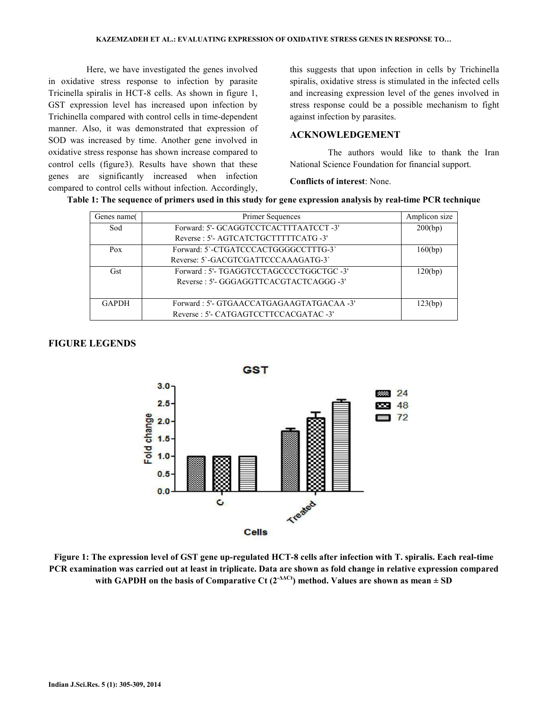Here, we have investigated the genes involved in oxidative stress response to infection by parasite Tricinella spiralis in HCT-8 cells. As shown in figure 1, GST expression level has increased upon infection by Trichinella compared with control cells in time-dependent manner. Also, it was demonstrated that expression of SOD was increased by time. Another gene involved in oxidative stress response has shown increase compared to control cells (figure3). Results have shown that these genes are significantly increased when infection compared to control cells without infection. Accordingly,

this suggests that upon infection in cells by Trichinella spiralis, oxidative stress is stimulated in the infected cells and increasing expression level of the genes involved in stress response could be a possible mechanism to fight against infection by parasites.

## ACKNOWLEDGEMENT

 The authors would like to thank the Iran National Science Foundation for financial support.

Conflicts of interest: None.

| Table 1: The sequence of primers used in this study for gene expression analysis by real-time PCR technique |  |  |  |
|-------------------------------------------------------------------------------------------------------------|--|--|--|
|                                                                                                             |  |  |  |
|                                                                                                             |  |  |  |

| Genes name   | <b>Primer Sequences</b>                  | Amplicon size |
|--------------|------------------------------------------|---------------|
| Sod          | Forward: 5'- GCAGGTCCTCACTTTAATCCT-3'    | 200(bp)       |
|              | Reverse: 5'- AGTCATCTGCTTTTTCATG -3'     |               |
| Pox          | Forward: 5'-CTGATCCCACTGGGGCCTTTG-3'     | 160(bp)       |
|              | Reverse: 5'-GACGTCGATTCCCAAAGATG-3'      |               |
| Gst          | Forward: 5'- TGAGGTCCTAGCCCCTGGCTGC -3'  | 120(bp)       |
|              | Reverse: 5'- GGGAGGTTCACGTACTCAGGG -3'   |               |
|              |                                          |               |
| <b>GAPDH</b> | Forward: 5'- GTGAACCATGAGAAGTATGACAA -3' | 123(bp)       |
|              | Reverse: 5'- CATGAGTCCTTCCACGATAC -3'    |               |

## FIGURE LEGENDS



Figure 1: The expression level of GST gene up-regulated HCT-8 cells after infection with T. spiralis. Each real-time PCR examination was carried out at least in triplicate. Data are shown as fold change in relative expression compared with GAPDH on the basis of Comparative Ct ( $2^{\triangle\Delta Ct}$ ) method. Values are shown as mean  $\pm$  SD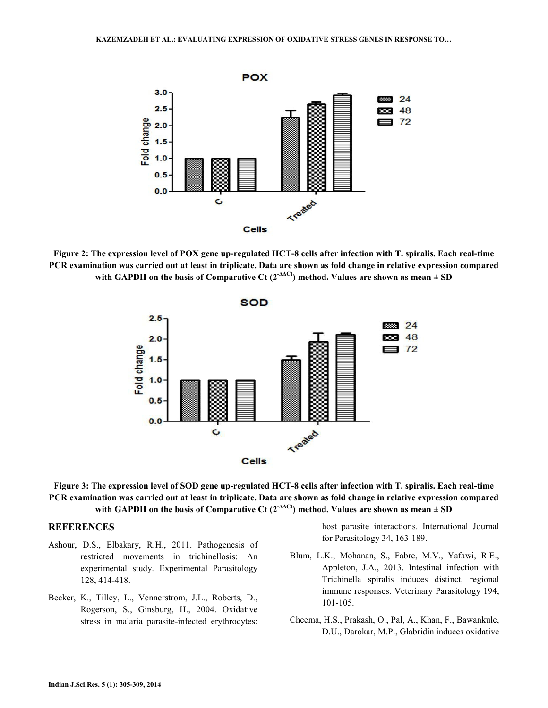

Figure 2: The expression level of POX gene up-regulated HCT-8 cells after infection with T. spiralis. Each real-time PCR examination was carried out at least in triplicate. Data are shown as fold change in relative expression compared with GAPDH on the basis of Comparative Ct (2<sup>- $\Delta$  $\Lambda$ Ct)</sup> method. Values are shown as mean  $\pm$  SD





#### **REFERENCES**

- Ashour, D.S., Elbakary, R.H., 2011. Pathogenesis of restricted movements in trichinellosis: An experimental study. Experimental Parasitology 128, 414-418.
- Becker, K., Tilley, L., Vennerstrom, J.L., Roberts, D., Rogerson, S., Ginsburg, H., 2004. Oxidative stress in malaria parasite-infected erythrocytes:

host–parasite interactions. International Journal for Parasitology 34, 163-189.

- Blum, L.K., Mohanan, S., Fabre, M.V., Yafawi, R.E., Appleton, J.A., 2013. Intestinal infection with Trichinella spiralis induces distinct, regional immune responses. Veterinary Parasitology 194, 101-105.
- Cheema, H.S., Prakash, O., Pal, A., Khan, F., Bawankule, D.U., Darokar, M.P., Glabridin induces oxidative